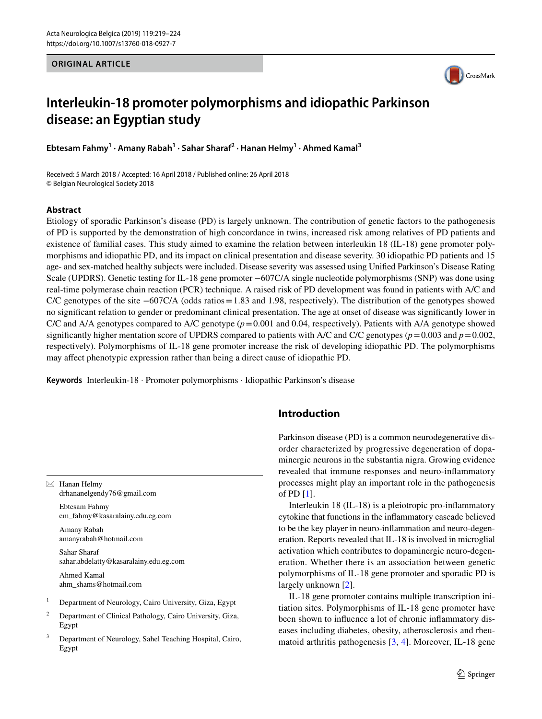#### **ORIGINAL ARTICLE**



# **Interleukin-18 promoter polymorphisms and idiopathic Parkinson disease: an Egyptian study**

**Ebtesam Fahmy<sup>1</sup> · Amany Rabah1 · Sahar Sharaf2 · Hanan Helmy1 · Ahmed Kamal3**

Received: 5 March 2018 / Accepted: 16 April 2018 / Published online: 26 April 2018 © Belgian Neurological Society 2018

#### **Abstract**

Etiology of sporadic Parkinson's disease (PD) is largely unknown. The contribution of genetic factors to the pathogenesis of PD is supported by the demonstration of high concordance in twins, increased risk among relatives of PD patients and existence of familial cases. This study aimed to examine the relation between interleukin 18 (IL-18) gene promoter polymorphisms and idiopathic PD, and its impact on clinical presentation and disease severity. 30 idiopathic PD patients and 15 age- and sex-matched healthy subjects were included. Disease severity was assessed using Unified Parkinson's Disease Rating Scale (UPDRS). Genetic testing for IL-18 gene promoter −607C/A single nucleotide polymorphisms (SNP) was done using real-time polymerase chain reaction (PCR) technique. A raised risk of PD development was found in patients with A/C and C/C genotypes of the site −607C/A (odds ratios=1.83 and 1.98, respectively). The distribution of the genotypes showed no significant relation to gender or predominant clinical presentation. The age at onset of disease was significantly lower in C/C and A/A genotypes compared to A/C genotype (*p*=0.001 and 0.04, respectively). Patients with A/A genotype showed significantly higher mentation score of UPDRS compared to patients with A/C and C/C genotypes ( $p = 0.003$  and  $p = 0.002$ , respectively). Polymorphisms of IL-18 gene promoter increase the risk of developing idiopathic PD. The polymorphisms may affect phenotypic expression rather than being a direct cause of idiopathic PD.

**Keywords** Interleukin-18 · Promoter polymorphisms · Idiopathic Parkinson's disease

 $\boxtimes$  Hanan Helmy drhananelgendy76@gmail.com

> Ebtesam Fahmy em\_fahmy@kasaralainy.edu.eg.com

Amany Rabah amanyrabah@hotmail.com

Sahar Sharaf sahar.abdelatty@kasaralainy.edu.eg.com

Ahmed Kamal ahm\_shams@hotmail.com

- <sup>1</sup> Department of Neurology, Cairo University, Giza, Egypt
- <sup>2</sup> Department of Clinical Pathology, Cairo University, Giza, Egypt
- <sup>3</sup> Department of Neurology, Sahel Teaching Hospital, Cairo, Egypt

## **Introduction**

Parkinson disease (PD) is a common neurodegenerative disorder characterized by progressive degeneration of dopaminergic neurons in the substantia nigra. Growing evidence revealed that immune responses and neuro-inflammatory processes might play an important role in the pathogenesis of PD [[1\]](#page-5-0).

Interleukin 18 (IL-18) is a pleiotropic pro-inflammatory cytokine that functions in the inflammatory cascade believed to be the key player in neuro-inflammation and neuro-degeneration. Reports revealed that IL-18 is involved in microglial activation which contributes to dopaminergic neuro-degeneration. Whether there is an association between genetic polymorphisms of IL-18 gene promoter and sporadic PD is largely unknown [\[2](#page-5-1)].

IL-18 gene promoter contains multiple transcription initiation sites. Polymorphisms of IL-18 gene promoter have been shown to influence a lot of chronic inflammatory diseases including diabetes, obesity, atherosclerosis and rheumatoid arthritis pathogenesis [\[3,](#page-5-2) [4\]](#page-5-3). Moreover, IL-18 gene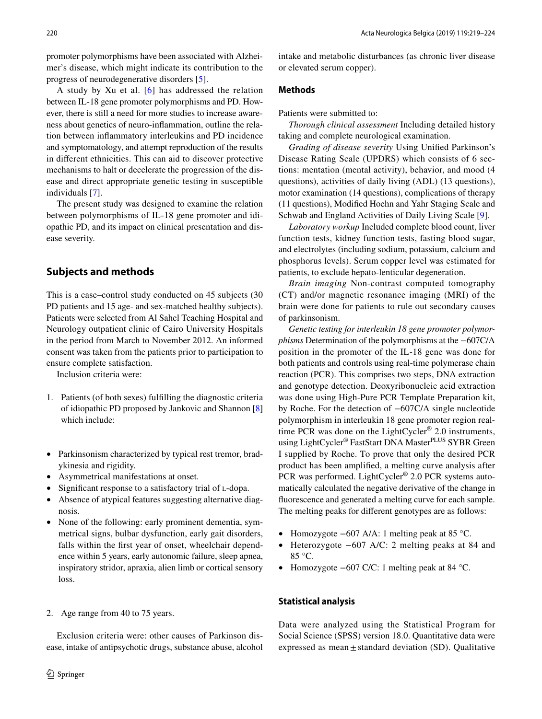promoter polymorphisms have been associated with Alzheimer's disease, which might indicate its contribution to the progress of neurodegenerative disorders [\[5](#page-5-4)].

A study by Xu et al. [[6](#page-5-5)] has addressed the relation between IL-18 gene promoter polymorphisms and PD. However, there is still a need for more studies to increase awareness about genetics of neuro-inflammation, outline the relation between inflammatory interleukins and PD incidence and symptomatology, and attempt reproduction of the results in different ethnicities. This can aid to discover protective mechanisms to halt or decelerate the progression of the disease and direct appropriate genetic testing in susceptible individuals [[7\]](#page-5-6).

The present study was designed to examine the relation between polymorphisms of IL-18 gene promoter and idiopathic PD, and its impact on clinical presentation and disease severity.

## **Subjects and methods**

This is a case–control study conducted on 45 subjects (30 PD patients and 15 age- and sex-matched healthy subjects). Patients were selected from Al Sahel Teaching Hospital and Neurology outpatient clinic of Cairo University Hospitals in the period from March to November 2012. An informed consent was taken from the patients prior to participation to ensure complete satisfaction.

Inclusion criteria were:

- 1. Patients (of both sexes) fulfilling the diagnostic criteria of idiopathic PD proposed by Jankovic and Shannon [[8\]](#page-5-7) which include:
- Parkinsonism characterized by typical rest tremor, bradykinesia and rigidity.
- Asymmetrical manifestations at onset.
- Significant response to a satisfactory trial of  $L$ -dopa.
- Absence of atypical features suggesting alternative diagnosis.
- None of the following: early prominent dementia, symmetrical signs, bulbar dysfunction, early gait disorders, falls within the first year of onset, wheelchair dependence within 5 years, early autonomic failure, sleep apnea, inspiratory stridor, apraxia, alien limb or cortical sensory loss.
- 2. Age range from 40 to 75 years.

Exclusion criteria were: other causes of Parkinson disease, intake of antipsychotic drugs, substance abuse, alcohol intake and metabolic disturbances (as chronic liver disease or elevated serum copper).

#### **Methods**

Patients were submitted to:

*Thorough clinical assessment* Including detailed history taking and complete neurological examination.

*Grading of disease severity* Using Unified Parkinson's Disease Rating Scale (UPDRS) which consists of 6 sections: mentation (mental activity), behavior, and mood (4 questions), activities of daily living (ADL) (13 questions), motor examination (14 questions), complications of therapy (11 questions), Modified Hoehn and Yahr Staging Scale and Schwab and England Activities of Daily Living Scale [[9\]](#page-5-8).

*Laboratory workup* Included complete blood count, liver function tests, kidney function tests, fasting blood sugar, and electrolytes (including sodium, potassium, calcium and phosphorus levels). Serum copper level was estimated for patients, to exclude hepato-lenticular degeneration.

*Brain imaging* Non-contrast computed tomography (CT) and/or magnetic resonance imaging (MRI) of the brain were done for patients to rule out secondary causes of parkinsonism.

*Genetic testing for interleukin 18 gene promoter polymorphisms* Determination of the polymorphisms at the −607C/A position in the promoter of the IL-18 gene was done for both patients and controls using real-time polymerase chain reaction (PCR). This comprises two steps, DNA extraction and genotype detection. Deoxyribonucleic acid extraction was done using High-Pure PCR Template Preparation kit, by Roche. For the detection of −607C/A single nucleotide polymorphism in interleukin 18 gene promoter region realtime PCR was done on the LightCycler<sup>®</sup> 2.0 instruments, using LightCycler<sup>®</sup> FastStart DNA Master<sup>PLUS</sup> SYBR Green I supplied by Roche. To prove that only the desired PCR product has been amplified, a melting curve analysis after PCR was performed. LightCycler**®** 2.0 PCR systems automatically calculated the negative derivative of the change in fluorescence and generated a melting curve for each sample. The melting peaks for different genotypes are as follows:

- Homozygote −607 A/A: 1 melting peak at 85 °C.
- Heterozygote −607 A/C: 2 melting peaks at 84 and 85 °C.
- Homozygote −607 C/C: 1 melting peak at 84 °C.

#### **Statistical analysis**

Data were analyzed using the Statistical Program for Social Science (SPSS) version 18.0. Quantitative data were expressed as mean $\pm$ standard deviation (SD). Qualitative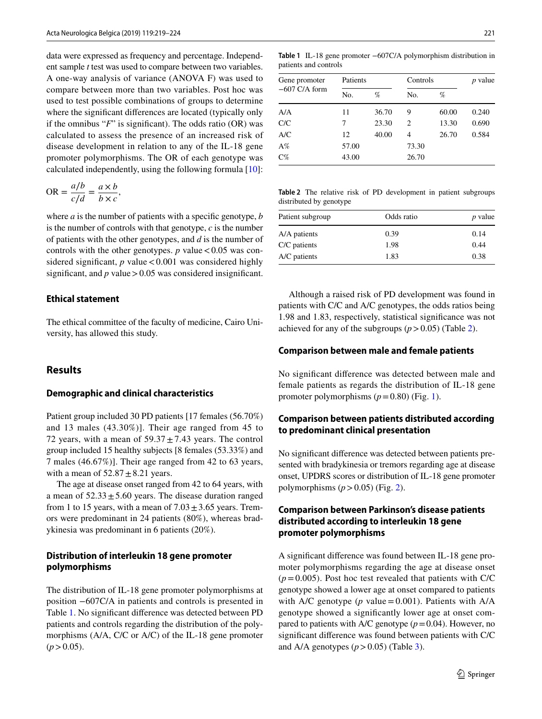data were expressed as frequency and percentage. Independent sample *t* test was used to compare between two variables. A one-way analysis of variance (ANOVA F) was used to compare between more than two variables. Post hoc was used to test possible combinations of groups to determine where the significant differences are located (typically only if the omnibus "*F*" is significant). The odds ratio (OR) was calculated to assess the presence of an increased risk of disease development in relation to any of the IL-18 gene promoter polymorphisms. The OR of each genotype was calculated independently, using the following formula [[10\]](#page-5-9):

$$
OR = \frac{a/b}{c/d} = \frac{a \times b}{b \times c},
$$

where *a* is the number of patients with a specific genotype, *b* is the number of controls with that genotype, *c* is the number of patients with the other genotypes, and *d* is the number of controls with the other genotypes.  $p$  value  $< 0.05$  was considered significant,  $p$  value <0.001 was considered highly significant, and  $p$  value  $> 0.05$  was considered insignificant.

#### **Ethical statement**

The ethical committee of the faculty of medicine, Cairo University, has allowed this study.

## **Results**

#### **Demographic and clinical characteristics**

Patient group included 30 PD patients [17 females (56.70%) and 13 males (43.30%)]. Their age ranged from 45 to 72 years, with a mean of  $59.37 \pm 7.43$  years. The control group included 15 healthy subjects [8 females (53.33%) and 7 males (46.67%)]. Their age ranged from 42 to 63 years, with a mean of  $52.87 \pm 8.21$  years.

The age at disease onset ranged from 42 to 64 years, with a mean of  $52.33 \pm 5.60$  years. The disease duration ranged from 1 to 15 years, with a mean of  $7.03 \pm 3.65$  years. Tremors were predominant in 24 patients (80%), whereas bradykinesia was predominant in 6 patients (20%).

## **Distribution of interleukin 18 gene promoter polymorphisms**

The distribution of IL-18 gene promoter polymorphisms at position −607C/A in patients and controls is presented in Table [1.](#page-2-0) No significant difference was detected between PD patients and controls regarding the distribution of the polymorphisms (A/A, C/C or A/C) of the IL-18 gene promoter  $(p>0.05)$ .

<span id="page-2-0"></span>**Table 1** IL-18 gene promoter −607C/A polymorphism distribution in patients and controls

| Gene promoter<br>$-607$ C/A form | Patients |       | Controls |       | $p$ value |  |
|----------------------------------|----------|-------|----------|-------|-----------|--|
|                                  | No.      | %     | No.      | $\%$  |           |  |
| A/A                              | 11       | 36.70 | 9        | 60.00 | 0.240     |  |
| C/C                              | 7        | 23.30 | 2        | 13.30 | 0.690     |  |
| A/C                              | 12       | 40.00 | 4        | 26.70 | 0.584     |  |
| $A\%$                            | 57.00    |       | 73.30    |       |           |  |
| $C\%$                            | 43.00    |       | 26.70    |       |           |  |

<span id="page-2-1"></span>**Table 2** The relative risk of PD development in patient subgroups distributed by genotype

| Patient subgroup | Odds ratio | $p$ value |  |
|------------------|------------|-----------|--|
| A/A patients     | 0.39       | 0.14      |  |
| C/C patients     | 1.98       | 0.44      |  |
| A/C patients     | 1.83       | 0.38      |  |

Although a raised risk of PD development was found in patients with C/C and A/C genotypes, the odds ratios being 1.98 and 1.83, respectively, statistical significance was not achieved for any of the subgroups  $(p > 0.05)$  (Table [2](#page-2-1)).

#### **Comparison between male and female patients**

No significant difference was detected between male and female patients as regards the distribution of IL-18 gene promoter polymorphisms  $(p=0.80)$  (Fig. [1](#page-3-0)).

### **Comparison between patients distributed according to predominant clinical presentation**

No significant difference was detected between patients presented with bradykinesia or tremors regarding age at disease onset, UPDRS scores or distribution of IL-18 gene promoter polymorphisms  $(p>0.05)$  (Fig. [2\)](#page-3-1).

## **Comparison between Parkinson's disease patients distributed according to interleukin 18 gene promoter polymorphisms**

A significant difference was found between IL-18 gene promoter polymorphisms regarding the age at disease onset  $(p=0.005)$ . Post hoc test revealed that patients with C/C genotype showed a lower age at onset compared to patients with A/C genotype ( $p$  value = 0.001). Patients with A/A genotype showed a significantly lower age at onset compared to patients with A/C genotype  $(p=0.04)$ . However, no significant difference was found between patients with C/C and A/A genotypes  $(p > 0.05)$  (Table [3](#page-3-2)).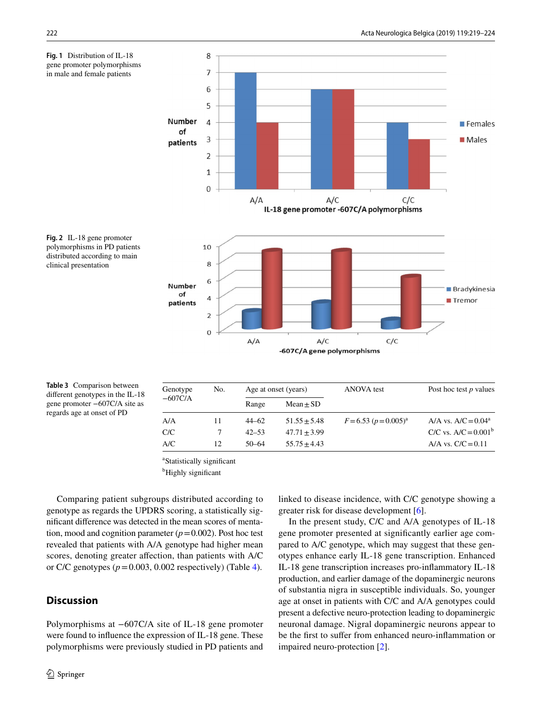<span id="page-3-0"></span>



<span id="page-3-1"></span>

<span id="page-3-2"></span>**Table 3** Comparison between different genotypes in the IL-18 gene promoter −607C/A site as regards age at onset of PD

| Genotype  | No. |           | Age at onset (years) | <b>ANOVA</b> test            | Post hoc test $p$ values |  |
|-----------|-----|-----------|----------------------|------------------------------|--------------------------|--|
| $-607C/A$ |     | Range     | $Mean \pm SD$        |                              |                          |  |
| A/A       | 11  | $44 - 62$ | $51.55 + 5.48$       | $F = 6.53$ $(p = 0.005)^{a}$ | A/A vs. $A/C = 0.04^a$   |  |
| C/C       |     | $42 - 53$ | $47.71 + 3.99$       |                              | C/C vs. $A/C = 0.001^b$  |  |
| A/C       | 12  | $50 - 64$ | $55.75 + 4.43$       |                              | A/A vs. $C/C = 0.11$     |  |

a Statistically significant

<sup>b</sup>Highly significant

Comparing patient subgroups distributed according to genotype as regards the UPDRS scoring, a statistically significant difference was detected in the mean scores of mentation, mood and cognition parameter  $(p=0.002)$ . Post hoc test revealed that patients with A/A genotype had higher mean scores, denoting greater affection, than patients with A/C or C/C genotypes  $(p=0.003, 0.002$  respectively) (Table [4](#page-4-0)).

## **Discussion**

Polymorphisms at −607C/A site of IL-18 gene promoter were found to influence the expression of IL-18 gene. These polymorphisms were previously studied in PD patients and linked to disease incidence, with C/C genotype showing a greater risk for disease development [[6\]](#page-5-5).

In the present study, C/C and A/A genotypes of IL-18 gene promoter presented at significantly earlier age compared to A/C genotype, which may suggest that these genotypes enhance early IL-18 gene transcription. Enhanced IL-18 gene transcription increases pro-inflammatory IL-18 production, and earlier damage of the dopaminergic neurons of substantia nigra in susceptible individuals. So, younger age at onset in patients with C/C and A/A genotypes could present a defective neuro-protection leading to dopaminergic neuronal damage. Nigral dopaminergic neurons appear to be the first to suffer from enhanced neuro-inflammation or impaired neuro-protection [[2\]](#page-5-1).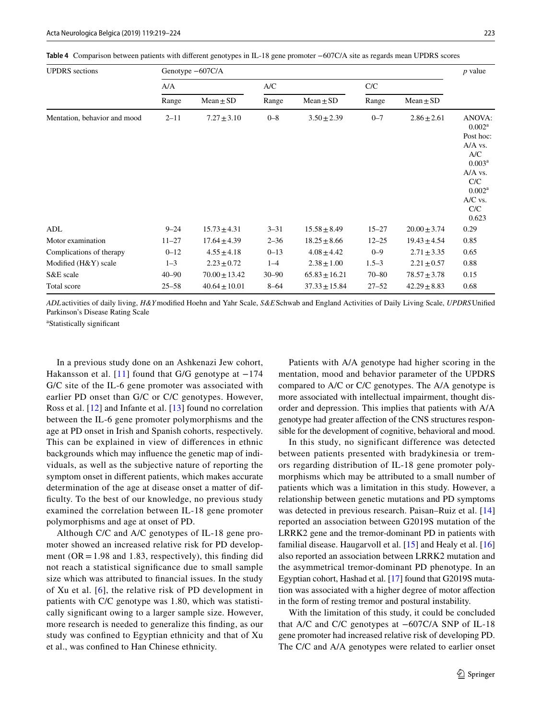<span id="page-4-0"></span>**Table 4** Comparison between patients with different genotypes in IL-18 gene promoter −607C/A site as regards mean UPDRS scores

| <b>UPDRS</b> sections        | Genotype $-607C/A$ |                   |           |                   |           |                  | $p$ value                                                                                                                                            |
|------------------------------|--------------------|-------------------|-----------|-------------------|-----------|------------------|------------------------------------------------------------------------------------------------------------------------------------------------------|
|                              | A/A                |                   | A/C       |                   | C/C       |                  |                                                                                                                                                      |
|                              | Range              | $Mean \pm SD$     | Range     | $Mean \pm SD$     | Range     | $Mean \pm SD$    |                                                                                                                                                      |
| Mentation, behavior and mood | $2 - 11$           | $7.27 \pm 3.10$   | $0 - 8$   | $3.50 \pm 2.39$   | $0 - 7$   | $2.86 \pm 2.61$  | ANOVA:<br>0.002 <sup>a</sup><br>Post hoc:<br>A/A vs.<br>A/C<br>0.003 <sup>a</sup><br>A/A vs.<br>C/C<br>0.002 <sup>a</sup><br>A/C vs.<br>C/C<br>0.623 |
| ADL                          | $9 - 24$           | $15.73 \pm 4.31$  | $3 - 31$  | $15.58 \pm 8.49$  | $15 - 27$ | $20.00 \pm 3.74$ | 0.29                                                                                                                                                 |
| Motor examination            | $11 - 27$          | $17.64 \pm 4.39$  | $2 - 36$  | $18.25 \pm 8.66$  | $12 - 25$ | $19.43 \pm 4.54$ | 0.85                                                                                                                                                 |
| Complications of therapy     | $0 - 12$           | $4.55 \pm 4.18$   | $0 - 13$  | $4.08 \pm 4.42$   | $0 - 9$   | $2.71 \pm 3.35$  | 0.65                                                                                                                                                 |
| Modified (H&Y) scale         | $1 - 3$            | $2.23 \pm 0.72$   | $1 - 4$   | $2.38 \pm 1.00$   | $1.5 - 3$ | $2.21 \pm 0.57$  | 0.88                                                                                                                                                 |
| S&E scale                    | $40 - 90$          | $70.00 \pm 13.42$ | $30 - 90$ | $65.83 \pm 16.21$ | $70 - 80$ | $78.57 \pm 3.78$ | 0.15                                                                                                                                                 |
| Total score                  | $25 - 58$          | $40.64 \pm 10.01$ | $8 - 64$  | $37.33 \pm 15.84$ | $27 - 52$ | $42.29 \pm 8.83$ | 0.68                                                                                                                                                 |

*ADL*activities of daily living, *H&Y*modified Hoehn and Yahr Scale, *S&E*Schwab and England Activities of Daily Living Scale, *UPDRS*Unified Parkinson's Disease Rating Scale

a Statistically significant

In a previous study done on an Ashkenazi Jew cohort, Hakansson et al. [[11](#page-5-10)] found that G/G genotype at  $-174$ G/C site of the IL-6 gene promoter was associated with earlier PD onset than G/C or C/C genotypes. However, Ross et al. [[12](#page-5-11)] and Infante et al. [\[13\]](#page-5-12) found no correlation between the IL-6 gene promoter polymorphisms and the age at PD onset in Irish and Spanish cohorts, respectively. This can be explained in view of differences in ethnic backgrounds which may influence the genetic map of individuals, as well as the subjective nature of reporting the symptom onset in different patients, which makes accurate determination of the age at disease onset a matter of difficulty. To the best of our knowledge, no previous study examined the correlation between IL-18 gene promoter polymorphisms and age at onset of PD.

Although C/C and A/C genotypes of IL-18 gene promoter showed an increased relative risk for PD development ( $OR = 1.98$  and 1.83, respectively), this finding did not reach a statistical significance due to small sample size which was attributed to financial issues. In the study of Xu et al. [[6\]](#page-5-5), the relative risk of PD development in patients with C/C genotype was 1.80, which was statistically significant owing to a larger sample size. However, more research is needed to generalize this finding, as our study was confined to Egyptian ethnicity and that of Xu et al., was confined to Han Chinese ethnicity.

Patients with A/A genotype had higher scoring in the mentation, mood and behavior parameter of the UPDRS compared to A/C or C/C genotypes. The A/A genotype is more associated with intellectual impairment, thought disorder and depression. This implies that patients with A/A genotype had greater affection of the CNS structures responsible for the development of cognitive, behavioral and mood.

In this study, no significant difference was detected between patients presented with bradykinesia or tremors regarding distribution of IL-18 gene promoter polymorphisms which may be attributed to a small number of patients which was a limitation in this study. However, a relationship between genetic mutations and PD symptoms was detected in previous research. Paisan–Ruiz et al. [[14](#page-5-13)] reported an association between G2019S mutation of the LRRK2 gene and the tremor-dominant PD in patients with familial disease. Haugarvoll et al. [[15\]](#page-5-14) and Healy et al. [[16\]](#page-5-15) also reported an association between LRRK2 mutation and the asymmetrical tremor-dominant PD phenotype. In an Egyptian cohort, Hashad et al. [[17](#page-5-16)] found that G2019S mutation was associated with a higher degree of motor affection in the form of resting tremor and postural instability.

With the limitation of this study, it could be concluded that A/C and C/C genotypes at −607C/A SNP of IL-18 gene promoter had increased relative risk of developing PD. The C/C and A/A genotypes were related to earlier onset